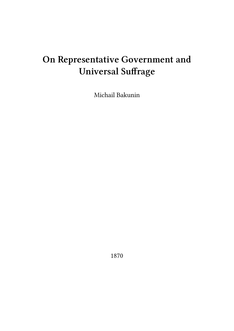## **On Representative Government and Universal Suffrage**

Michail Bakunin

1870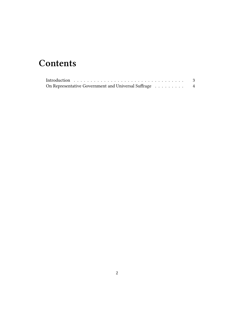## **Contents**

| On Representative Government and Universal Suffrage 4 |  |
|-------------------------------------------------------|--|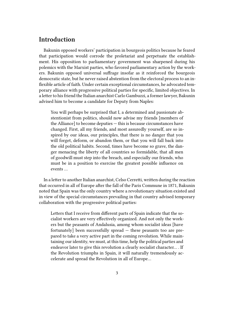## **Introduction**

Bakunin opposed workers' participation in bourgeois politics because he feared that participation would corrode the proletariat and perpetuate the establishment. His opposition to parliamentary government was sharpened during his polemics with the Marxist parties, who favored parliamentary action by the workers. Bakunin opposed universal suffrage insofar as it reinforced the bourgeois democratic state, but he never raised abstention from the electoral process to an inflexible article of faith. Under certain exceptional circumstances, he advocated temporary alliance with progressive political parties for specific, limited objectives. In a letter to his friend the Italian anarchist Carlo Gambuzzi, a former lawyer, Bakunin advised him to become a candidate for Deputy from Naples:

You will perhaps be surprised that I, a determined and passionate abstentionist from politics, should now advise my friends [members of the Alliance] to become deputies — this is because circumstances have changed. First, all my friends, and most assuredly yourself, are so inspired by our ideas, our principles, that there is no danger that you will forget, deform, or abandon them, or that you will fall back into the old political habits. Second, times have become so grave, the danger menacing the liberty of all countries so formidable, that all men of goodwill must step into the breach, and especially our friends, who must be in a position to exercise the greatest possible influence on events …

In a letter to another Italian anarchist, Celso Cerretti, written during the reaction that occurred in all of Europe after the fall of the Paris Commune in 1871, Bakunin noted that Spain was the only country where a revolutionary situation existed and in view of the special circumstances prevailing in that country advised temporary collaboration with the progressive political parties:

Letters that I receive from different parts of Spain indicate that the socialist workers are very effectively organized. And not only the workers but the peasants of Andalusia, among whom socialist ideas [have fortunately] been successfully spread — these peasants too are prepared to take a very active part in the coming revolution. While maintaining our identity, we must, at this time, help the political parties and endeavor later to give this revolution a clearly socialist character… . If the Revolution triumphs in Spain, it will naturally tremendously accelerate and spread the Revolution in all of Europe…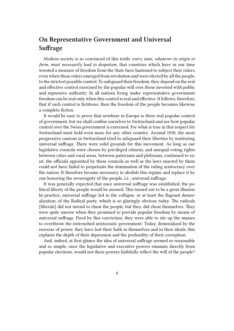## **On Representative Government and Universal Suffrage**

Modern society is so convinced of this truth: *every state, whatever its origin or form, must necessarily lead to despotism*, that countries which have in our time wrested a measure of freedom from the State have hastened to subject their rulers, even when these rulers emerged from revolution and were elected by all the people, to the strictest possible control. To safeguard their freedom, they depend on the real and effective control exercised by the popular will over those invested with public and repressive authority. In all nations living under representative government freedom can be real only when this control is real and effective. It follows, therefore, that if such control is fictitious, then the freedom of the people becomes likewise a complete fiction.

It would be easy to prove that nowhere in Europe is there real popular control of government, but we shall confine ourselves to Switzerland and see how popular control over the Swiss government is exercised. For what is true in this respect for Switzerland must hold even more for any other country. Around 1830, the most progressive cantons in Switzerland tried to safeguard their liberties by instituting universal suffrage. There were solid grounds for this movement. As long as our legislative councils were chosen by privileged citizens, and unequal voting rights between cities and rural areas, between patricians and plebeians, continued to exist, the officials appointed by these councils as well as the laws enacted by them could not have failed to perpetuate the domination of the ruling aristocracy over the nation. It therefore became necessary to abolish this regime and replace it by one honoring the sovereignty of the people, i.e., universal suffrage.

It was generally expected that once universal suffrage was established, the political liberty of the people would be assured. This turned out to be a great illusion. In practice, universal suffrage led to the collapse, or at least the flagrant demoralization, of the Radical party, which is so glaringly obvious today. The radicals [liberals] did not intend to cheat the people, but they. did cheat themselves. They were quite sincere when they promised to provide popular freedom by means of universal suffrage. Fired by this conviction, they were able to stir up the masses to overthrow the entrenched aristocratic government. Today, demoralized by the exercise of power, they have lost their faith in themselves and in their ideals; this explains the depth of their depression and the profundity of their corruption.

And, indeed, at first glance the idea of universal suffrage seemed so reasonable and so simple; once the legislative and executive powers emanate directly from popular elections, would not these powers faithfully reflect the will of the people?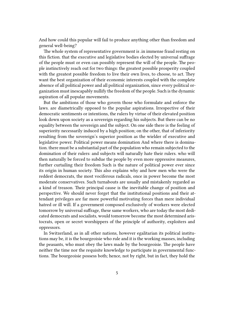And how could this popular will fail to produce anything other than freedom and general well-being?

The whole system of representative government is .in immense fraud resting on this fiction. that the executive and legislative bodies elected by universal suffrage of the people must or even can possibly represent the will of the people. The people instinctively reach out for two things: the greatest possible prosperity coupled with the greatest possible freedom to live their own lives, to choose, to act. They want the best organization of their economic interests coupled with the complete absence of all political power and all political organization, since every political organization must inescapably nullify the freedom of the people. Such is the dynamic aspiration of all popular movements.

But the ambitions of those who govern those who formulate and enforce the laws. are diametrically opposed to the popular aspirations. Irrespective of their democratic sentiments or intentions, the rulers by virtue of their elevated position look down upon society as a sovereign regarding his subjects. But there can be no equality between the sovereign and the subject. On one side there is the feeling of superiority necessarily induced by a high position; on the other, that of inferiority resulting from the sovereign's superior position as the wielder of executive and legislative power. Political power means domination And where there is domination. there must be a substantial part of the population who remain subjected to the domination of their rulers: and subjects will naturally hate their rulers. who will then naturally be forced to subdue the people by even more oppressive measures, further curtailing their freedom Such is the nature of political power ever since its origin in human society. This also explains why and how men who were the reddest democrats, the most vociferous radicals, once in power become the most moderate conservatives. Such turnabouts are usually and mistakenly regarded as a kind of treason. Their principal cause is the inevitable change of position and perspective. We should never forget that the institutional positions and their attendant privileges are far more powerful motivating forces than mere individual hatred or ill will. If a government composed exclusively of workers were elected tomorrow by universal suffrage, these same workers, who are today the most dedicated democrats and socialists, would tomorrow become the most determined aristocrats, open or secret worshippers of the principle of authority, exploiters and oppressors.

In Switzerland, as in all other nations, however egalitarian its political institutions may be, it is the bourgeoisie who rule and it is the working masses, including the peasants, who must obey the laws made by the bourgeoisie. The people have neither the time nor the requisite knowledge to participate in governmental functions. The bourgeoisie possess both; hence, not by right, but in fact, they hold the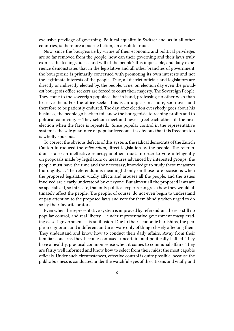exclusive privilege of governing. Political equality in Switzerland, as in all other countries, is therefore a puerile fiction, an absolute fraud.

Now, since the bourgeoisie by virtue of their economic and political privileges are so far removed from the people, how can their governing and their laws truly express the feelings, ideas, and will of the people? It is impossible, and daily experience demonstrates that in the legislative and all other branches of government, the bourgeoisie is primarily concerned with promoting its own interests and not the legitimate interests of the people. True, all district officials and legislators are directly or indirectly elected by, the people. True, on election day even the proudest bourgeois office seekers are forced to court their majesty, The Sovereign People. They come to the sovereign populace, hat in hand, professing no other wish than to serve them. For the office seeker this is an unpleasant chore, soon over and therefore to be patiently endured. The day after election everybody goes about his business, the people go back to toil anew the bourgeoisie to reaping profits and to political conniving. — They seldom meet and never greet each other till the next election when the farce is repeated… Since popular control in the representative system is the sole guarantee of popular freedom, it is obvious that this freedom too is wholly spurious.

To correct the obvious defects of this system, the radical democrats of the Zurich Canton introduced the *referendum,* direct legislation by the people. The referendum is also an ineffective remedy; another fraud. In order to vote intelligently on proposals made by legislators or measures advanced by interested groups, the people must have the time and the necessary, knowledge to study these measures thoroughly… . The referendum is meaningful only on those rare occasions when the proposed legislation vitally affects and arouses all the people, and the issues involved are clearly understood by everyone. But almost all the proposed laws are so specialized, so intricate, that only political experts can grasp how they would ultimately affect the people. The people, of course, do not even begin to understand or pay attention to the proposed laws and vote for them blindly when urged to do so by their favorite orators.

Even when the representative system is improved by referendum, there is still no popular control, and real liberty — under representative government masquerading as self-government — is an illusion. Due to their economic hardships, the people are ignorant and indifferent and are aware only of things closely affecting them. They understand and know how to conduct their daily affairs. Away from their familiar concerns they become confused, uncertain, and politically baffled. They have a healthy, practical common sense when it comes to communal affairs. They are fairly well informed and know how to select from their midst the most capable officials. Under such circumstances, effective control is quite possible, because the public business is conducted under the watchful eyes of the citizens and vitally and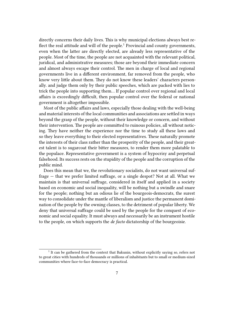directly concerns their daily lives. This is why municipal elections always best reflect the real attitude and will of the people.<sup>1</sup> Provincial and county governments, even when the latter are directly elected, are already less representative of the people. Most of the time, the people are not acquainted with the relevant political, juridical, and administrative measures; those are beyond their immediate concern and almost always escape their control. The men in charge of local and regional governments live in a different environment, far removed from the people, who know very little about them. They do not know these leaders' characters personally. and judge them only by their public speeches, which are packed with lies to trick the people into supporting them… If popular control over regional and local affairs is exceedingly difficult, then popular control over the federal or national government is altogether impossible.

Most of the public affairs and laws, especially those dealing with the well-being and material interests of the local communities and associations are settled in ways beyond the grasp of the people, without their knowledge or concern, and without their intervention. The people are committed to ruinous policies, all without noticing. They have neither the experience nor the time to study all these laws and so they leave everything to their elected representatives. These naturally promote the interests of their class rather than the prosperity of the people, and their greatest talent is to sugarcoat their bitter measures, to render them more palatable to the populace. Representative government is a system of hypocrisy and perpetual falsehood. Its success rests on the stupidity of the people and the corruption of the public mind.

Does this mean that we, the revolutionary socialists, do not want universal suffrage — that we prefer limited suffrage, or a single despot? Not at all. What we maintain is that universal suffrage, considered in itself and applied in a society based on economic and social inequality, will be nothing but a swindle and snare for the people; nothing but an odious lie of the bourgeois-democrats, the surest way to consolidate under the mantle of liberalism and justice the permanent domination of the people by the owning classes, to the detriment of popular liberty. We deny that universal suffrage could be used by the people for the conquest of economic and social equality. It must always and necessarily be an instrument hostile to the people, on which supports the *de facto* dictatorship of the bourgeoisie.

<sup>&</sup>lt;sup>1</sup> It can be gathered from the context that Bakunin, without explicitly saying so, refers not to great cities with hundreds of thousands or millions of inhabitants but to small or medium-sized communities where face-to-face democracy is practical.